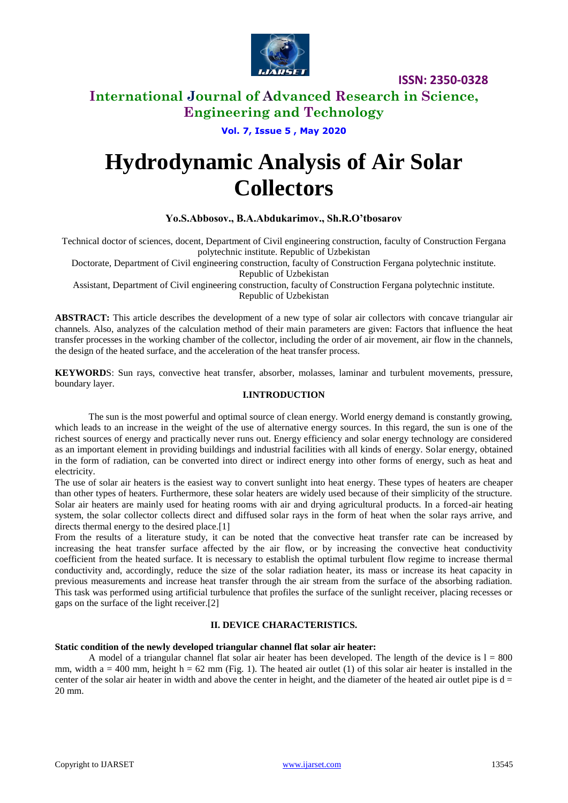

# **International Journal of Advanced Research in Science, Engineering and Technology**

**Vol. 7, Issue 5 , May 2020**

# **Hydrodynamic Analysis of Air Solar Collectors**

### **Yo.S.Abbosov., B.A.Abdukarimov., Sh.R.O'tbosarov**

Technical doctor of sciences, docent, Department of Civil engineering construction, faculty of Construction Fergana polytechnic institute. Republic of Uzbekistan

Doctorate, Department of Civil engineering construction, faculty of Construction Fergana polytechnic institute. Republic of Uzbekistan

Assistant, Department of Civil engineering construction, faculty of Construction Fergana polytechnic institute. Republic of Uzbekistan

**ABSTRACT:** This article describes the development of a new type of solar air collectors with concave triangular air channels. Also, analyzes of the calculation method of their main parameters are given: Factors that influence the heat transfer processes in the working chamber of the collector, including the order of air movement, air flow in the channels, the design of the heated surface, and the acceleration of the heat transfer process.

**KEYWORD**S: Sun rays, convective heat transfer, absorber, molasses, laminar and turbulent movements, pressure, boundary layer.

### **I.INTRODUCTION**

The sun is the most powerful and optimal source of clean energy. World energy demand is constantly growing, which leads to an increase in the weight of the use of alternative energy sources. In this regard, the sun is one of the richest sources of energy and practically never runs out. Energy efficiency and solar energy technology are considered as an important element in providing buildings and industrial facilities with all kinds of energy. Solar energy, obtained in the form of radiation, can be converted into direct or indirect energy into other forms of energy, such as heat and electricity.

The use of solar air heaters is the easiest way to convert sunlight into heat energy. These types of heaters are cheaper than other types of heaters. Furthermore, these solar heaters are widely used because of their simplicity of the structure. Solar air heaters are mainly used for heating rooms with air and drying agricultural products. In a forced-air heating system, the solar collector collects direct and diffused solar rays in the form of heat when the solar rays arrive, and directs thermal energy to the desired place.[1]

From the results of a literature study, it can be noted that the convective heat transfer rate can be increased by increasing the heat transfer surface affected by the air flow, or by increasing the convective heat conductivity coefficient from the heated surface. It is necessary to establish the optimal turbulent flow regime to increase thermal conductivity and, accordingly, reduce the size of the solar radiation heater, its mass or increase its heat capacity in previous measurements and increase heat transfer through the air stream from the surface of the absorbing radiation. This task was performed using artificial turbulence that profiles the surface of the sunlight receiver, placing recesses or gaps on the surface of the light receiver.[2]

### **II. DEVICE CHARACTERISTICS.**

### **Static condition of the newly developed triangular channel flat solar air heater:**

A model of a triangular channel flat solar air heater has been developed. The length of the device is  $1 = 800$ mm, width  $a = 400$  mm, height  $h = 62$  mm (Fig. 1). The heated air outlet (1) of this solar air heater is installed in the center of the solar air heater in width and above the center in height, and the diameter of the heated air outlet pipe is  $d =$ 20 mm.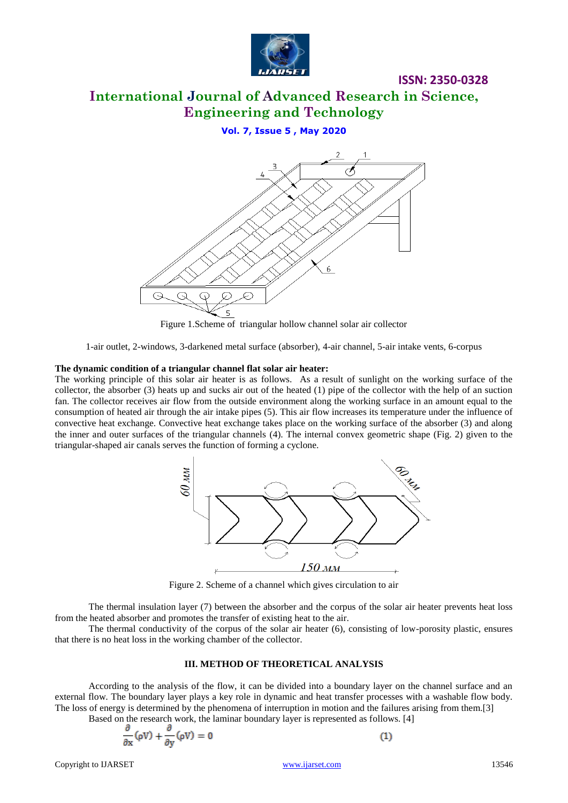

# **International Journal of Advanced Research in Science, Engineering and Technology**

**Vol. 7, Issue 5 , May 2020**



Figure 1.Scheme of triangular hollow channel solar air collector

1-air outlet, 2-windows, 3-darkened metal surface (absorber), 4-air channel, 5-air intake vents, 6-corpus

### **The dynamic condition of a triangular channel flat solar air heater:**

The working principle of this solar air heater is as follows. As a result of sunlight on the working surface of the collector, the absorber (3) heats up and sucks air out of the heated (1) pipe of the collector with the help of an suction fan. The collector receives air flow from the outside environment along the working surface in an amount equal to the consumption of heated air through the air intake pipes (5). This air flow increases its temperature under the influence of convective heat exchange. Convective heat exchange takes place on the working surface of the absorber (3) and along the inner and outer surfaces of the triangular channels (4). The internal convex geometric shape (Fig. 2) given to the triangular-shaped air canals serves the function of forming a cyclone.



Figure 2. Scheme of a channel which gives circulation to air

The thermal insulation layer (7) between the absorber and the corpus of the solar air heater prevents heat loss from the heated absorber and promotes the transfer of existing heat to the air.

The thermal conductivity of the corpus of the solar air heater (6), consisting of low-porosity plastic, ensures that there is no heat loss in the working chamber of the collector.

#### **III. METHOD OF THEORETICAL ANALYSIS**

According to the analysis of the flow, it can be divided into a boundary layer on the channel surface and an external flow. The boundary layer plays a key role in dynamic and heat transfer processes with a washable flow body. The loss of energy is determined by the phenomena of interruption in motion and the failures arising from them.[3]

Based on the research work, the laminar boundary layer is represented as follows. [4]

$$
\frac{\partial}{\partial x}(\rho V) + \frac{\partial}{\partial y}(\rho V) = 0
$$

 $(1)$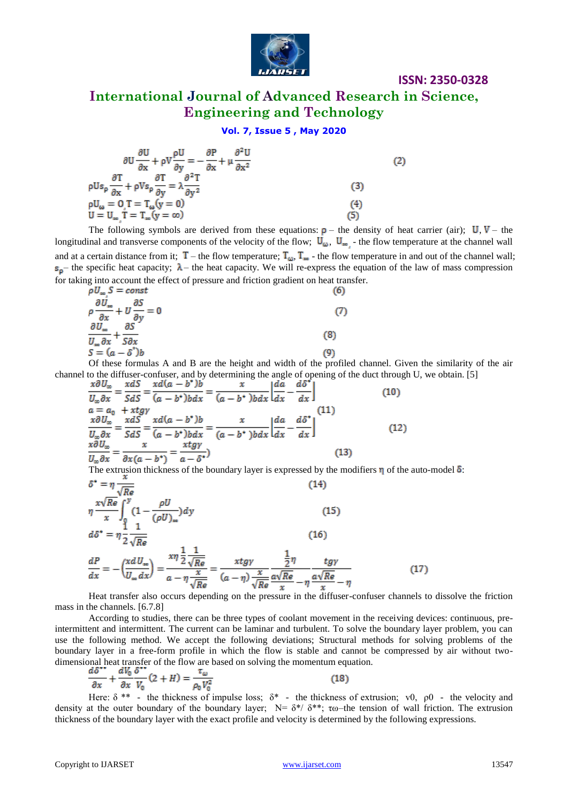

# **International Journal of Advanced Research in Science, Engineering and Technology**

### **Vol. 7, Issue 5 , May 2020**

$$
\frac{\partial U}{\partial x} + \rho V \frac{\rho U}{\partial y} = -\frac{\partial P}{\partial x} + \mu \frac{\partial^2 U}{\partial x^2}
$$
\n
$$
\rho U s_{\rho} \frac{\partial T}{\partial x} + \rho V s_{\rho} \frac{\partial T}{\partial y} = \lambda \frac{\partial^2 T}{\partial y^2}
$$
\n(2)\n
$$
\rho U_{\omega} = 0 \cdot T = T_{\omega} (y = 0)
$$
\n
$$
U = U_{\omega} \cdot T = T_{\omega} (y = \infty)
$$
\n(3)\n(4)\n(5)

The following symbols are derived from these equations:  $\rho$  – the density of heat carrier (air);  $U, V$  – the longitudinal and transverse components of the velocity of the flow;  $U_{\omega}$ ,  $U_{\omega}$  - the flow temperature at the channel wall and at a certain distance from it;  $T -$  the flow temperature;  $T_{\omega}$ ,  $T_{\infty}$  - the flow temperature in and out of the channel wall;  $s_0$  – the specific heat capacity;  $\lambda$  – the heat capacity. We will re-express the equation of the law of mass compression for taking into account the effect of pressure and friction gradient on heat transfer.

$$
\rho \frac{\partial U_{\infty}}{\partial x} = const
$$
\n
$$
\rho \frac{\partial U_{\infty}}{\partial x} + U \frac{\partial S}{\partial y} = 0
$$
\n
$$
\frac{\partial U_{\infty}}{\partial x} \frac{\partial S}{\partial x} + \frac{S \partial X}{S \partial x}
$$
\n
$$
S = (a - \delta^2)b
$$
\n(9)

Of these formulas A and B are the height and width of the profiled channel. Given the similarity of the air channel to the diffuser-confuser, and by determining the angle of opening of the duct through U, we obtain. [5]

$$
\frac{x\partial U_{\infty}}{U_{\infty}\partial x} = \frac{xdS}{SdS} = \frac{xd(a-b^{*})b}{(a-b^{*})bdx} = \frac{x}{(a-b^{*})bdx} \left|\frac{da}{dx} - \frac{d\delta^{*}}{dx}\right|
$$
\n
$$
a = a_{0} + xtgy
$$
\n
$$
\frac{x\partial U_{\infty}}{U_{\infty}\partial x} = \frac{xdS}{SdS} = \frac{xd(a-b^{*})b}{(a-b^{*})bdx} = \frac{x}{(a-b^{*})bdx} \left|\frac{da}{dx} - \frac{d\delta^{*}}{dx}\right|
$$
\n
$$
\frac{x\partial U_{\infty}}{U_{\infty}\partial x} = \frac{x}{\partial x(a-b^{*})} = \frac{xtgy}{a-\delta^{*}}
$$
\n
$$
(13)
$$

The extrusion thickness of the boundary layer is expressed by the modifiers  $\eta$  of the auto-model  $\delta$ :

$$
\delta^* = \eta \frac{\sqrt{Re}}{\sqrt{Re}} \qquad (14)
$$
\n
$$
\eta \frac{x\sqrt{Re}}{x} \int_0^y (1 - \frac{\rho U}{(\rho U)_\infty}) dy \qquad (15)
$$
\n
$$
d\delta^* = \eta \frac{1}{2} \frac{1}{\sqrt{Re}} \qquad (16)
$$
\n
$$
\frac{dP}{dx} = -\left(\frac{x d U_\infty}{U_\infty dx}\right) = \frac{x\eta \frac{1}{2} \frac{1}{\sqrt{Re}}}{a - \eta \frac{x}{\sqrt{Re}}} = \frac{x t g \gamma}{(a - \eta) \frac{x}{\sqrt{Re}} \frac{1}{\sqrt{Re}} \frac{1}{x} - \eta \frac{t g \gamma}{\sqrt{Re}} \frac{1}{x} - \eta} \qquad (17)
$$

Heat transfer also occurs depending on the pressure in the diffuser-confuser channels to dissolve the friction mass in the channels. [6.7.8]

According to studies, there can be three types of coolant movement in the receiving devices: continuous, preintermittent and intermittent. The current can be laminar and turbulent. To solve the boundary layer problem, you can use the following method. We accept the following deviations; Structural methods for solving problems of the boundary layer in a free-form profile in which the flow is stable and cannot be compressed by air without twodimensional heat transfer of the flow are based on solving the momentum equation.

$$
\frac{d\delta^{xx}}{\partial x} + \frac{dV_0}{\partial x} \frac{\delta^{xx}}{V_0} (2 + H) = \frac{\tau_\omega}{\rho_0 V_0^2}
$$
 (18)

Here:  $\delta^{**}$  - the thickness of impulse loss;  $\delta^*$  - the thickness of extrusion; v0,  $\rho$ 0 - the velocity and density at the outer boundary of the boundary layer;  $N = \delta^* / \delta^{**}$ ; τω–the tension of wall friction. The extrusion thickness of the boundary layer with the exact profile and velocity is determined by the following expressions.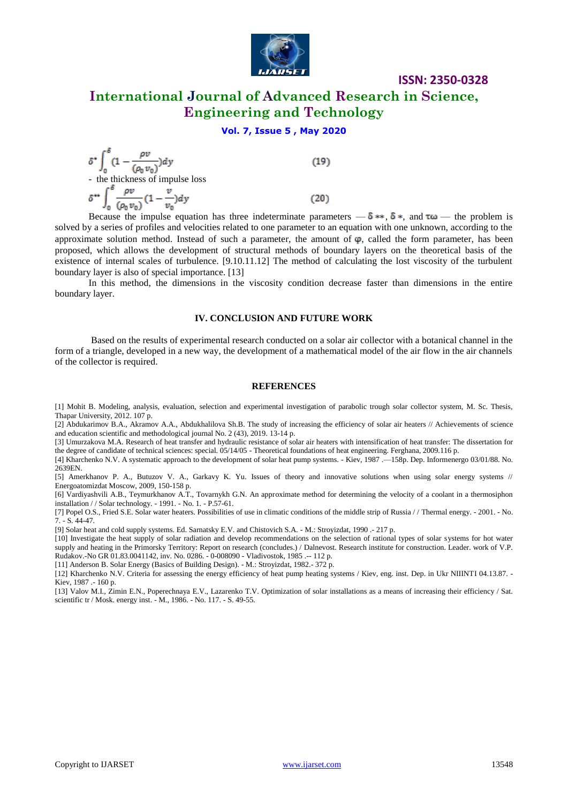

# **International Journal of Advanced Research in Science, Engineering and Technology**

### **Vol. 7, Issue 5 , May 2020**

$$
\delta^* \int_0^\delta \left(1 - \frac{\rho v}{(\rho_0 v_0)}\right) dy
$$
\n- the thickness of impulse loss\n
$$
\delta^{**} \int_0^\delta \frac{\rho v}{(\rho_0 v_0)} \left(1 - \frac{v}{v_0}\right) dy
$$
\n(20)

Because the impulse equation has three indeterminate parameters  $-\delta$  \*\*,  $\delta$ \*, and  $\tau\omega$  — the problem is solved by a series of profiles and velocities related to one parameter to an equation with one unknown, according to the approximate solution method. Instead of such a parameter, the amount of  $\varphi$ , called the form parameter, has been proposed, which allows the development of structural methods of boundary layers on the theoretical basis of the existence of internal scales of turbulence. [9.10.11.12] The method of calculating the lost viscosity of the turbulent boundary layer is also of special importance. [13]

In this method, the dimensions in the viscosity condition decrease faster than dimensions in the entire boundary layer.

#### **IV. CONCLUSION AND FUTURE WORK**

Based on the results of experimental research conducted on a solar air collector with a botanical channel in the form of a triangle, developed in a new way, the development of a mathematical model of the air flow in the air channels of the collector is required.

#### **REFERENCES**

[1] Mohit B. Modeling, analysis, evaluation, selection and experimental investigation of parabolic trough solar collector system, M. Sc. Thesis, Thapar University, 2012. 107 p.

[2] Abdukarimov B.A., Akramov A.A., Abdukhalilova Sh.B. The study of increasing the efficiency of solar air heaters // Achievements of science and education scientific and methodological journal No. 2 (43), 2019. 13-14 p.

[3] Umurzakova M.A. Research of heat transfer and hydraulic resistance of solar air heaters with intensification of heat transfer: The dissertation for the degree of candidate of technical sciences: special. 05/14/05 - Theoretical foundations of heat engineering. Ferghana, 2009.116 p.

[4] Kharchenko N.V. A systematic approach to the development of solar heat pump systems. - Kiev, 1987 .—158p. Dep. Informenergo 03/01/88. No. 2639EN.

[5] Amerkhanov P. A., Butuzov V. A., Garkavy K. Yu. Issues of theory and innovative solutions when using solar energy systems // Energoatomizdat Moscow, 2009, 150-158 p.

[6] Vardiyashvili A.B., Teymurkhanov A.T., Tovarnykh G.N. An approximate method for determining the velocity of a coolant in a thermosiphon installation / / Solar technology. - 1991. - No. 1. - P.57-61.

[7] Popel O.S., Fried S.E. Solar water heaters. Possibilities of use in climatic conditions of the middle strip of Russia / / Thermal energy. - 2001. - No. 7. - S. 44-47.

[9] Solar heat and cold supply systems. Ed. Sarnatsky E.V. and Chistovich S.A. - M.: Stroyizdat, 1990 .- 217 p.

[10] Investigate the heat supply of solar radiation and develop recommendations on the selection of rational types of solar systems for hot water supply and heating in the Primorsky Territory: Report on research (concludes.) / Dalnevost. Research institute for construction. Leader. work of V.P. Rudakov.-No GR 01.83.0041142, inv. No. 0286. - 0-008090 - Vladivostok, 1985 .-- 112 p.

[11] Anderson B. Solar Energy (Basics of Building Design). - M.: Stroyizdat, 1982.- 372 p.

[12] Kharchenko N.V. Criteria for assessing the energy efficiency of heat pump heating systems / Kiev, eng. inst. Dep. in Ukr NIIINTI 04.13.87. - Kiev, 1987 .- 160 p.

[13] Valov M.I., Zimin E.N., Poperechnaya E.V., Lazarenko T.V. Optimization of solar installations as a means of increasing their efficiency / Sat. scientific tr / Mosk. energy inst. - M., 1986. - No. 117. - S. 49-55.